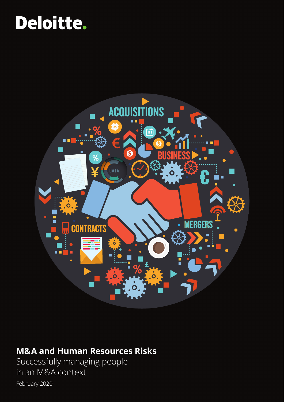# Deloitte.



# **M&A and Human Resources Risks**

Successfully managing people in an M&A context February 2020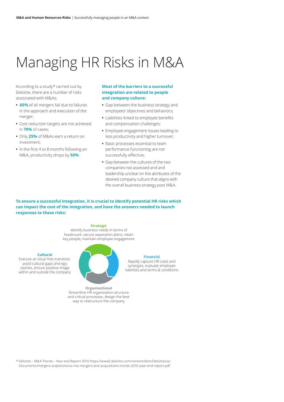# Managing HR Risks in M&A

According to a study\* carried out by Deloitte, there are a number of risks associated with M&As:

- **• 60%** of all mergers fail due to failures in the approach and execution of the merger;
- **•** Cost reduction targets are not achieved in **70%** of cases;
- **•** Only **25%** of M&As earn a return on investment;
- **•** In the first 4 to 8 months following an M&A, productivity drops by **50%**.

#### **Most of the barriers to a successful integration are related to people and company culture:**

- **•** Gap between the business strategy and employees' objectives and behaviors;
- **•** Liabilities linked to employee benefits and compensation challenges;
- **•** Employee engagement issues leading to less productivity and higher turnover;
- **•** Basic processes essential to team performance functioning are not successfully effective;
- **•** Gap between the cultures of the two companies not assessed and and leadership unclear on the attributes of the desired company culture that aligns with the overall business strategy post M&A.

**To ensure a successful integration, it is crucial to identify potential HR risks which can impact the cost of the integration, and have the answers needed to launch responses to these risks:**

#### **Strategic**

Identify business needs in terms of headcount, secure separation plans, retain key people, maintain employee engagement

#### **Cultural**

Execute an issue-free transition, avoid cultural gaps and ego clashes, ensure positive image within and outside the company



#### **Financial**

Rapidly capture HR costs and synergies, evaluate employee liabilities and terms & conditions

**Organizational** Streamline HR organization structure and critical processes, design the best way to restructure the company

\* Deloitte – M&A Trends – Year-end Report 2016 https://www2.deloitte.com/content/dam/Deloitte/us/ Documents/mergers-acqisitions/us-ma-mergers-and-acquisitions-trends-2016-year-end-report.pdf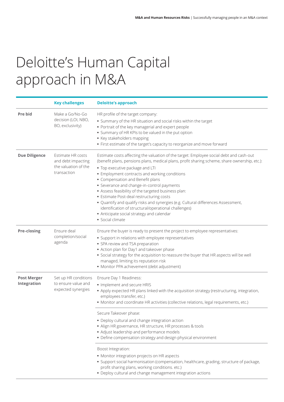# Deloitte's Human Capital approach in M&A

|                                   | <b>Key challenges</b>                                                          | <b>Deloitte's approach</b>                                                                                                                                                                                                                                                                                                                                                                                                                                                                                                                                                                                                                                                      |
|-----------------------------------|--------------------------------------------------------------------------------|---------------------------------------------------------------------------------------------------------------------------------------------------------------------------------------------------------------------------------------------------------------------------------------------------------------------------------------------------------------------------------------------------------------------------------------------------------------------------------------------------------------------------------------------------------------------------------------------------------------------------------------------------------------------------------|
| <b>Pre bid</b>                    | Make a Go/No-Go<br>decision (LOI, NBO,<br>BO, exclusivity)                     | HR profile of the target company:<br>• Summary of the HR situation and social risks within the target<br>• Portrait of the key managerial and expert people<br>• Summary of HR KPIs to be valued in the put option<br>• Key stakeholders mapping<br>• First estimate of the target's capacity to reorganize and move forward                                                                                                                                                                                                                                                                                                                                                    |
| <b>Due Diligence</b>              | Estimate HR costs<br>and debt impacting<br>the valuation of the<br>transaction | Estimate costs affecting the valuation of the target: Employee social debt and cash-out<br>(benefit plans, pensions plans, medical plans, profit sharing scheme, share ownership, etc.):<br>• Top executive package and LTI<br>• Employment contracts and working conditions<br>• Compensation and Benefit plans<br>• Severance and change-in-control payments<br>• Assess feasibility of the targeted business plan:<br>• Estimate Post-deal restructuring costs<br>. Quantify and qualify risks and synergies (e.g. Cultural differences Assessment,<br>identification of structural/operational challenges)<br>• Anticipate social strategy and calendar<br>· Social climate |
| <b>Pre-closing</b>                | Ensure deal<br>completion/social<br>agenda                                     | Ensure the buyer is ready to present the project to employee representatives:<br>• Support in relations with employee representatives<br>• SPA review and TSA preparation<br>• Action plan for Day1 and takeover phase<br>• Social strategy for the acquisition to reassure the buyer that HR aspects will be well<br>managed, limiting its reputation risk<br>• Monitor PPA achievement (debt adjustment)                                                                                                                                                                                                                                                                      |
| <b>Post Merger</b><br>Integration | Set up HR conditions<br>to ensure value and<br>expected synergies              | Ensure Day 1 Readiness:<br>• Implement and secure HRIS<br>• Apply expected HR plans linked with the acquisition strategy (restructuring, integration,<br>employees transfer, etc.)<br>• Monitor and coordinate HR activities (collective relations, legal requirements, etc.)<br>Secure Takeover phase:<br>• Deploy cultural and change integration action<br>• Align HR governance, HR structure, HR processes & tools<br>• Adjust leadership and performance models<br>• Define compensation strategy and design physical environment<br>Boost Integration:<br>• Monitor integration projects on HR aspects                                                                   |
|                                   |                                                                                | · Support social harmonisation (compensation, healthcare, grading, structure of package,<br>profit sharing plans, working conditions. etc.)<br>• Deploy cultural and change management integration actions                                                                                                                                                                                                                                                                                                                                                                                                                                                                      |